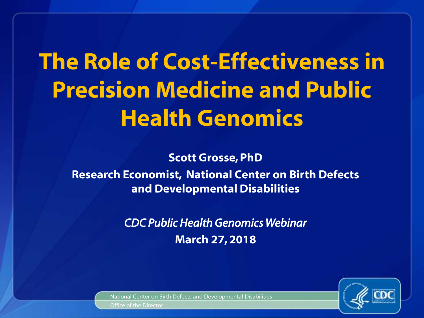# **The Role of Cost-Effectiveness in Precision Medicine and Public Health Genomics**

**Scott Grosse, PhD Research Economist, National Center on Birth Defects and Developmental Disabilities** 

> *CDC Public Health Genomics Webinar*  **March 27, 2018**



National Center on Birth Defects and Developmental Disabilities

Office of the Director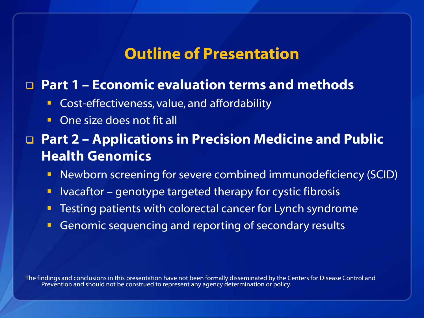### **Outline of Presentation**

#### **Part 1 – Economic evaluation terms and methods**

- **Cost-effectiveness, value, and affordability**
- One size does not fit all

### **Part 2 – Applications in Precision Medicine and Public Health Genomics**

- Newborn screening for severe combined immunodeficiency (SCID)
- **I** Ivacaftor genotype targeted therapy for cystic fibrosis
- **Testing patients with colorectal cancer for Lynch syndrome**
- **Genomic sequencing and reporting of secondary results**

The findings and conclusions in this presentation have not been formally disseminated by the Centers for Disease Control and Prevention and should not be construed to represent any agency determination or policy.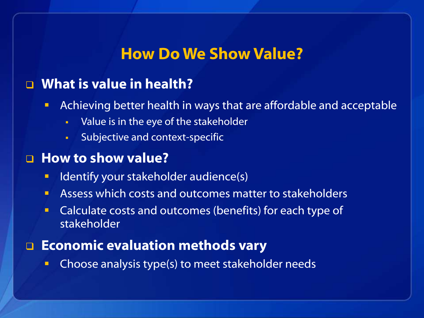### **How Do We Show Value?**

#### **What is value in health?**

- **Achieving better health in ways that are affordable and acceptable** 
	- Value is in the eye of the stakeholder
	- **Subjective and context-specific**

#### **How to show value?**

- **I** Identify your stakeholder audience(s)
- **Assess which costs and outcomes matter to stakeholders**
- **Calculate costs and outcomes (benefits) for each type of** stakeholder

#### **Economic evaluation methods vary**

**E** Choose analysis type(s) to meet stakeholder needs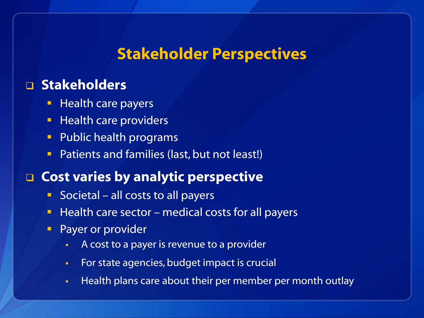### **Stakeholder Perspectives**

#### **Stakeholders**

- Health care payers
- **Health care providers**
- **Public health programs**
- **Patients and families (last, but not least!)**

#### **Cost varies by analytic perspective**

- **Societal all costs to all payers**
- **Health care sector medical costs for all payers**
- **Payer or provider** 
	- A cost to a payer is revenue to a provider
	- **For state agencies, budget impact is crucial**
	- **Health plans care about their per member per month outlay**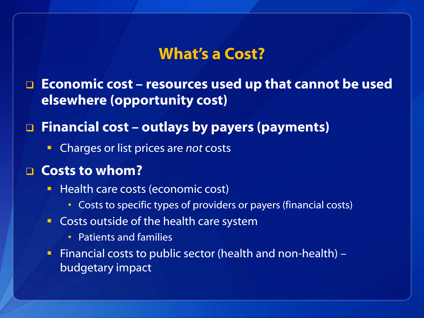### **What's a Cost?**

 **Economic cost – resources used up that cannot be used elsewhere (opportunity cost)** 

**Financial cost – outlays by payers (payments)** 

Charges or list prices are *not* costs

#### **Costs to whom?**

- **Health care costs (economic cost)** 
	- Costs to specific types of providers or payers (financial costs)
- **Costs outside of the health care system** 
	- Patients and families
- Financial costs to public sector (health and non-health) budgetary impact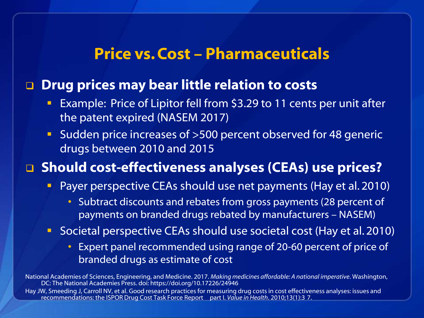# **Price vs. Cost – Pharmaceuticals**

#### **Drug prices may bear little relation to costs**

- Example: Price of Lipitor fell from \$3.29 to 11 cents per unit after the patent expired (NASEM 2017)
- Sudden price increases of >500 percent observed for 48 generic drugs between 2010 and 2015

### **Should cost-effectiveness analyses (CEAs) use prices?**

- Payer perspective CEAs should use net payments (Hay et al. 2010)
	- • Subtract discounts and rebates from gross payments (28 percent of payments on branded drugs rebated by manufacturers – NASEM)
- Societal perspective CEAs should use societal cost (Hay et al. 2010)
	- branded drugs as estimate of cost • Expert panel recommended using range of 20-60 percent of price of

 National Academies of Sciences, Engineering, and Medicine. 2017. *Making medicines affordable: A national imperative*. Washington, Hay JW, Smeeding J, Carroll NV, et al. Good research practices for measuring drug costs in cost effectiveness analyses: issues and DC: The National Academies Press. doi: https://doi.org/10.17226/24946

— - recommendations: the ISPOR Drug Cost Task Force Report part I. *Value in Health*. 2010;13(1):3 7.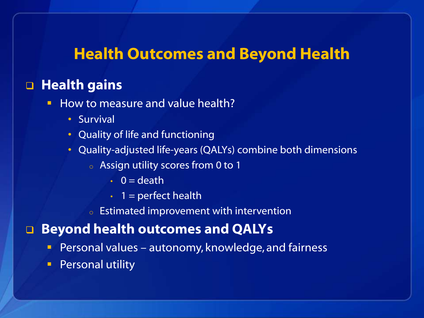### **Health Outcomes and Beyond Health**

### **Health gains**

- **How to measure and value health?** 
	- Survival
	- Quality of life and functioning
	- Quality-adjusted life-years (QALYs) combine both dimensions
		- o Assign utility scores from 0 to 1
			- $\cdot$  0 = death
			- $\cdot$  1 = perfect health
		- o Estimated improvement with intervention

### **Beyond health outcomes and QALYs**

- **Personal values autonomy, knowledge, and fairness**
- **Personal utility**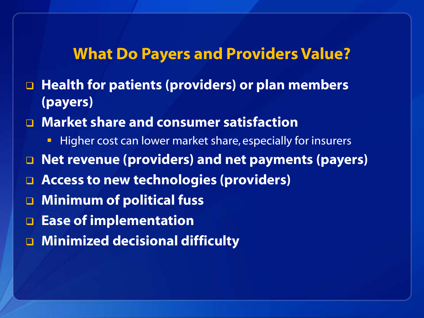### **What Do Payers and Providers Value?**

- **Health for patients (providers) or plan members (payers)**
- **Market share and consumer satisfaction** 
	- **Higher cost can lower market share, especially for insurers**
- **Net revenue (providers) and net payments (payers)**
- **Access to new technologies (providers)**
- **Minimum of political fuss**
- **Ease of implementation**
- **Minimized decisional difficulty**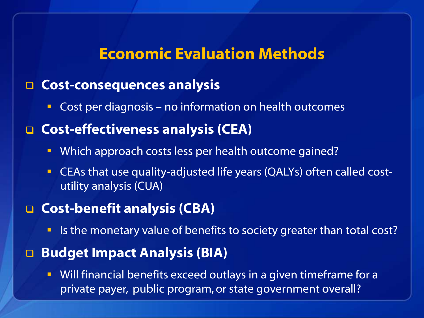### **Economic Evaluation Methods**

#### **Cost-consequences analysis**

**Cost per diagnosis – no information on health outcomes** 

#### **Cost-effectiveness analysis (CEA)**

- **Which approach costs less per health outcome gained?**
- CEAs that use quality-adjusted life years (QALYs) often called costutility analysis (CUA)

#### **Cost-benefit analysis (CBA)**

Is the monetary value of benefits to society greater than total cost?

#### **Budget Impact Analysis (BIA)**

**Will financial benefits exceed outlays in a given timeframe for a** private payer, public program, or state government overall?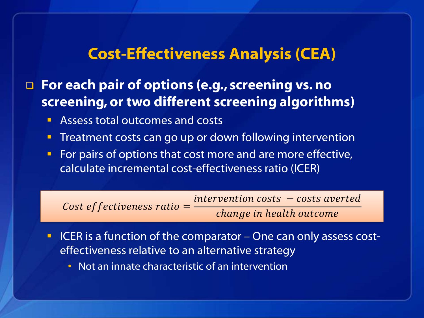### **Cost-Effectiveness Analysis (CEA)**

### **For each pair of options (e.g., screening vs. no screening, or two different screening algorithms)**

- **Assess total outcomes and costs**
- **Treatment costs can go up or down following intervention**
- For pairs of options that cost more and are more effective, calculate incremental cost-effectiveness ratio (ICER)

Cost effectiveness ratio  $=$  $intervention \ costs - costs \ averted$ change in health outcome

- **ICER is a function of the comparator One can only assess cost**effectiveness relative to an alternative strategy
	- Not an innate characteristic of an intervention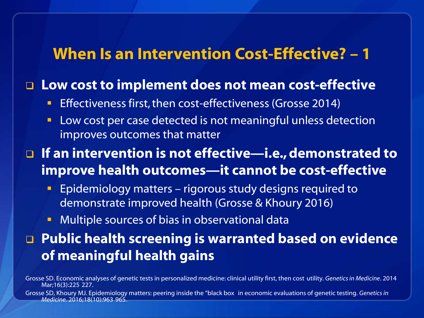# **When Is an Intervention Cost-Effective? – 1**

#### **Low cost to implement does not mean cost-effective**

- **Effectiveness first, then cost-effectiveness (Grosse 2014)**
- **Low cost per case detected is not meaningful unless detection** improves outcomes that matter

 **If an intervention is not effective—i.e., demonstrated to improve health outcomes—it cannot be cost-effective** 

- **Epidemiology matters rigorous study designs required to** demonstrate improved health (Grosse & Khoury 2016)
- Multiple sources of bias in observational data

### **Public health screening is warranted based on evidence of meaningful health gains**

- - Grosse SD. Economic analyses of genetic tests in personalized medicine: clinical utility first, then cost utility. *Genetics in Medicine*. 2014 " Grosse SD, Khoury MJ. Epidemiology matters: peering inside the "black box in economic evaluations of genetic testing. *Genetics in*  - *Medicine*. 2016;18(10):963 965. Mar;16(3):225 227.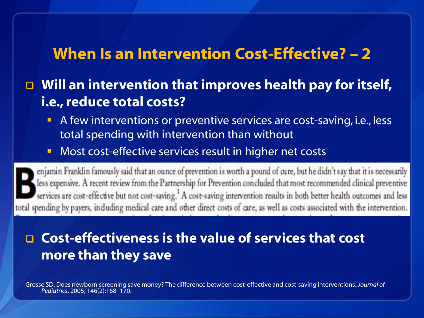# **When Is an Intervention Cost-Effective? – 2**

### **Will an intervention that improves health pay for itself, i.e., reduce total costs?**

- A few interventions or preventive services are cost-saving, i.e., less total spending with intervention than without
- **Most cost-effective services result in higher net costs**

enjamin Franklin famously said that an ounce of prevention is worth a pound of cure, but he didn't say that it is necessarily less expensive. A recent review from the Partnership for Prevention concluded that most recommended clinical preventive services are cost-effective but not cost-saving.<sup>1</sup> A cost-saving intervention results in both better health outcomes and less total spending by payers, induding medical care and other direct costs of care, as well as costs associated with the intervention.

### **Cost-effectiveness is the value of services that cost more than they save**

Grosse SD. Does newborn screening save money? The difference between cost effective and cost saving interventions. *Journal of Pediatrics*. 2005; 146(2):168 170. *Pediatrics*. 2005; 146(2):168 170.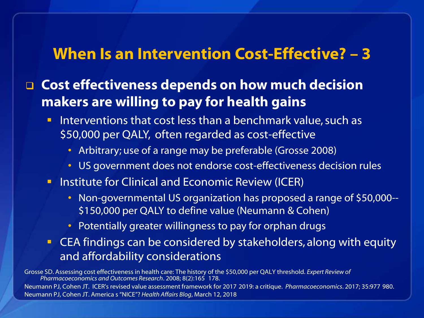# **When Is an Intervention Cost-Effective? – 3**

### **Cost effectiveness depends on how much decision makers are willing to pay for health gains**

- **Interventions that cost less than a benchmark value, such as** \$50,000 per QALY, often regarded as cost-effective
	- Arbitrary; use of a range may be preferable (Grosse 2008)
	- US government does not endorse cost-effectiveness decision rules
- **Ex Institute for Clinical and Economic Review (ICER)** 
	- \$150,000 per QALY to define value (Neumann & Cohen) • Non-governmental US organization has proposed a range of \$50,000--
	- Potentially greater willingness to pay for orphan drugs
- **EXA findings can be considered by stakeholders, along with equity** and affordability considerations

 – *Pharmacoeconomics and Outcomes Research*. 2008; 8(2):165 178. - - Neumann PJ, Cohen JT. ICER's revised value assessment framework for 2017 2019: a critique. *Pharmacoeconomics*. 2017; 35:977 980. ' Neumann PJ, Cohen JT. America s "NICE"? *Health Affairs Blog*, March 12, 2018 Grosse SD. Assessing cost effectiveness in health care: The history of the \$50,000 per QALY threshold. *Expert Review of*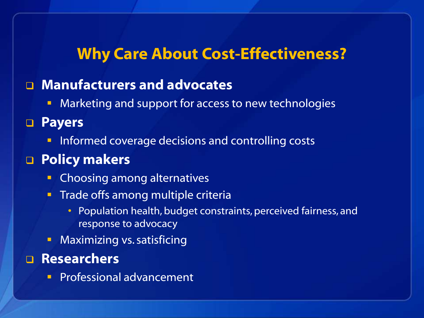# **Why Care About Cost-Effectiveness?**

#### **Manufacturers and advocates**

- **Marketing and support for access to new technologies**
- **Payers** 
	- Informed coverage decisions and controlling costs

#### **Policy makers**

- **EXPLO** Choosing among alternatives
- **Trade offs among multiple criteria** 
	- Population health, budget constraints, perceived fairness, and response to advocacy
- **Maximizing vs. satisficing**
- **Researchers** 
	- Professional advancement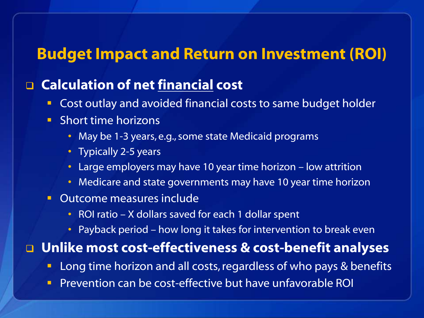### **Budget Impact and Return on Investment (ROI)**

### **Calculation of net financial cost**

- **Cost outlay and avoided financial costs to same budget holder**
- **Short time horizons** 
	- May be 1-3 years, e.g., some state Medicaid programs
	- Typically 2-5 years
	- Large employers may have 10 year time horizon low attrition
	- Medicare and state governments may have 10 year time horizon
- **Outcome measures include** 
	- ROI ratio X dollars saved for each 1 dollar spent
	- Payback period how long it takes for intervention to break even

#### **Unlike most cost-effectiveness & cost-benefit analyses**

- **Long time horizon and all costs, regardless of who pays & benefits**
- **Prevention can be cost-effective but have unfavorable ROI**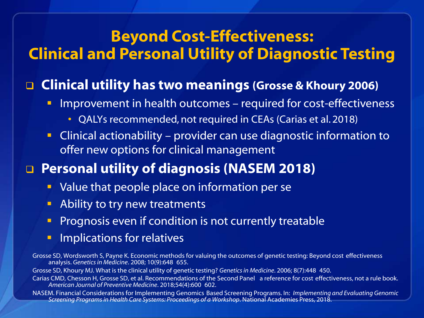# **Beyond Cost-Effectiveness: Clinical and Personal Utility of Diagnostic Testing**

#### **Clinical utility has two meanings (Grosse & Khoury 2006)**

- **Improvement in health outcomes required for cost-effectiveness** 
	- QALYs recommended, not required in CEAs (Carias et al. 2018)
- Clinical actionability provider can use diagnostic information to offer new options for clinical management

### **Personal utility of diagnosis (NASEM 2018)**

- Value that people place on information per se
- **Ability to try new treatments**
- **Prognosis even if condition is not currently treatable**
- Implications for relatives

Grosse SD, Wordsworth S, Payne K. Economic methods for valuing the outcomes of genetic testing: Beyond cost effectiveness<br>analysis. G*enetics in Medicine*. 2008; 10(9):648 655. – Grosse SD, Khoury MJ. What is the clinical utility of genetic testing? *Genetics in Medicine*. 2006; 8(7):448 450. Carias CMD, Chesson H, Grosse SD, et al. Recommendations of the Second Panel a reference for cost effectiveness, not a rule book.<br>American Journal of Preventive Medicine. 2018;54(4):600 602. - NASEM. Financial Considerations for Implementing Genomics Based Screening Programs. In: *Implementing and Evaluating Genomic*  analysis. *Genetics in Medicine*. 2008; 10(9):648 655. *American Journal of Preventive Medicine*. 2018;54(4):600 602. *Screening Programs in Health Care Systems: Proceedings of a Workshop*. National Academies Press, 2018.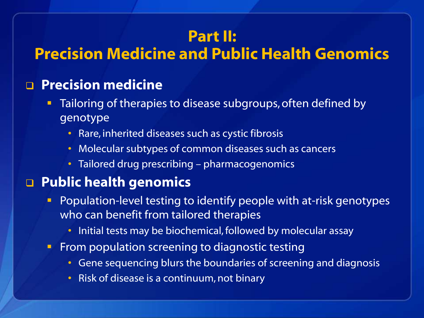# **Part II:**

# **Precision Medicine and Public Health Genomics**

# **Precision medicine**

- Tailoring of therapies to disease subgroups, often defined by genotype
	- Rare, inherited diseases such as cystic fibrosis
	- Molecular subtypes of common diseases such as cancers
	- Tailored drug prescribing pharmacogenomics

### **Public health genomics**

- Population-level testing to identify people with at-risk genotypes who can benefit from tailored therapies
	- Initial tests may be biochemical, followed by molecular assay
- **From population screening to diagnostic testing** 
	- Gene sequencing blurs the boundaries of screening and diagnosis
	- Risk of disease is a continuum, not binary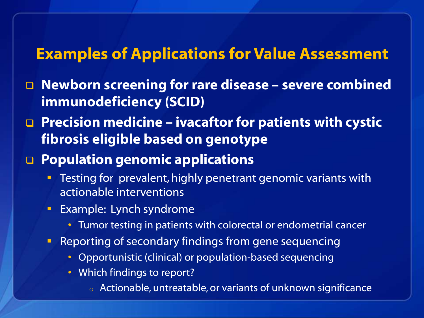### **Examples of Applications for Value Assessment**

- **Newborn screening for rare disease – severe combined immunodeficiency (SCID)**
- **Precision medicine – ivacaftor for patients with cystic fibrosis eligible based on genotype**
- **Population genomic applications** 
	- Testing for prevalent, highly penetrant genomic variants with actionable interventions
	- **Example: Lynch syndrome** 
		- Tumor testing in patients with colorectal or endometrial cancer
	- Reporting of secondary findings from gene sequencing
		- Opportunistic (clinical) or population-based sequencing
		- Which findings to report?
			- o Actionable, untreatable, or variants of unknown significance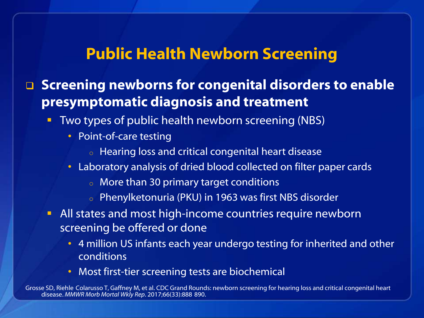### **Public Health Newborn Screening**

### **Screening newborns for congenital disorders to enable presymptomatic diagnosis and treatment**

- **Two types of public health newborn screening (NBS)** 
	- Point-of-care testing
		- <sup>o</sup> Hearing loss and critical congenital heart disease
	- Laboratory analysis of dried blood collected on filter paper cards
		- o More than 30 primary target conditions
		- o Phenylketonuria (PKU) in 1963 was first NBS disorder
- **All states and most high-income countries require newborn** screening be offered or done
	- 4 million US infants each year undergo testing for inherited and other conditions
	- Most first-tier screening tests are biochemical

e SD, Riehle Colarusso T, Gaffney M, et al. CDC Grand Round<br>disease. *MMWR Morb Mortal Wkly Rep*. 2017;66(33):888 890. Grosse SD, Riehle Colarusso T, Gaffney M, et al. CDC Grand Rounds: newborn screening for hearing loss and critical congenital heart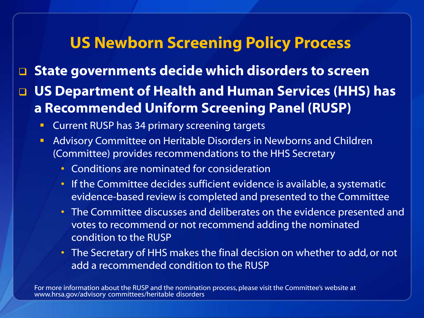# **US Newborn Screening Policy Process**

 **State governments decide which disorders to screen US Department of Health and Human Services (HHS) has a Recommended Uniform Screening Panel (RUSP)** 

- **Current RUSP has 34 primary screening targets**
- **Advisory Committee on Heritable Disorders in Newborns and Children** (Committee) provides recommendations to the HHS Secretary
	- Conditions are nominated for consideration
	- If the Committee decides sufficient evidence is available, a systematic evidence-based review is completed and presented to the Committee
	- The Committee discusses and deliberates on the evidence presented and votes to recommend or not recommend adding the nominated condition to the RUSP
	- • The Secretary of HHS makes the final decision on whether to add, or not add a recommended condition to the RUSP

 For more information about the RUSP and the nomination process, please visit the Committee's website at www.hrsa.gov/advisory committees/heritable disorders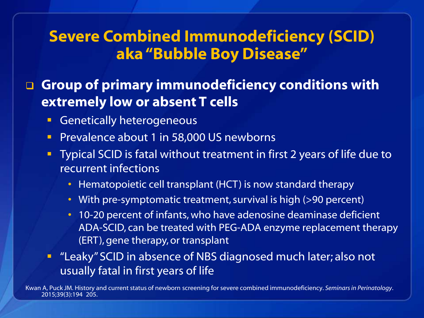# **Severe Combined Immunodeficiency (SCID) aka "Bubble Boy Disease"**

### **Group of primary immunodeficiency conditions with extremely low or absent T cells**

- **Genetically heterogeneous**
- **Prevalence about 1 in 58,000 US newborns**
- **Typical SCID is fatal without treatment in first 2 years of life due to** recurrent infections
	- Hematopoietic cell transplant (HCT) is now standard therapy
	- With pre-symptomatic treatment, survival is high (>90 percent)
	- (ERT), gene therapy, or transplant • 10-20 percent of infants, who have adenosine deaminase deficient ADA-SCID, can be treated with PEG-ADA enzyme replacement therapy

**E** "Leaky" SCID in absence of NBS diagnosed much later; also not usually fatal in first years of life

2015;39(3):194 205. Kwan A, Puck JM. History and current status of newborn screening for severe combined immunodeficiency. Seminars in Perinatology.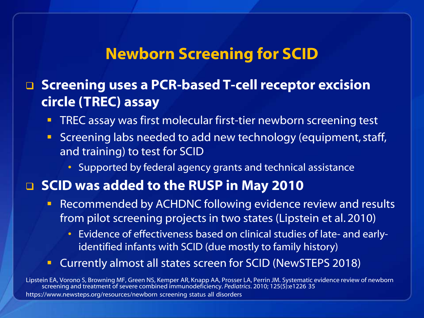### **Newborn Screening for SCID**

### **Screening uses a PCR-based T-cell receptor excision circle (TREC) assay**

- **TREC** assay was first molecular first-tier newborn screening test
- **Screening labs needed to add new technology (equipment, staff,** and training) to test for SCID
	- Supported by federal agency grants and technical assistance

### **SCID was added to the RUSP in May 2010**

- Recommended by ACHDNC following evidence review and results from pilot screening projects in two states (Lipstein et al. 2010)
	- Evidence of effectiveness based on clinical studies of late- and earlyidentified infants with SCID (due mostly to family history)
- Currently almost all states screen for SCID (NewSTEPS 2018)

in EA, Vorono S, Browning MF, Green NS, Kemper AR, Knapp AA, Prosser LA, Perrin JM. Systematic e<br>screening and treatment of severe combined immunodeficiency. *Pediatrics*. 2010; 125(5):e1226 35 Lipstein EA, Vorono S, Browning MF, Green NS, Kemper AR, Knapp AA, Prosser LA, Perrin JM. Systematic evidence review of newborn

https://www.newsteps.org/resources/newborn screening status all disorders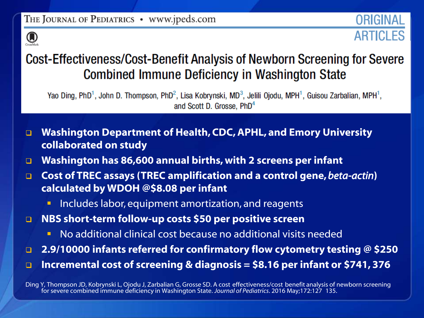

**ARTICLES** 

### Cost-Effectiveness/Cost-Benefit Analysis of Newborn Screening for Severe **Combined Immune Deficiency in Washington State**

Yao Ding, PhD<sup>1</sup>, John D. Thompson, PhD<sup>2</sup>, Lisa Kobrynski, MD<sup>3</sup>, Jelili Ojodu, MPH<sup>1</sup>, Guisou Zarbalian, MPH<sup>1</sup>, and Scott D. Grosse, PhD<sup>4</sup>

- **Washington Department of Health, CDC, APHL, and Emory University collaborated on study**
- **Washington has 86,600 annual births, with 2 screens per infant**
- **calculated by WDOH @\$8.08 per infant Cost of TREC assays (TREC amplification and a control gene,** *beta-actin***)** 
	- **Includes labor, equipment amortization, and reagents**
- **NBS short-term follow-up costs \$50 per positive screen** 
	- **No additional clinical cost because no additional visits needed**
- **2.9/10000 infants referred for confirmatory flow cytometry testing @ \$250**
- **Incremental cost of screening & diagnosis = \$8.16 per infant or \$741, 376**

Y, Thompson JD, Kobrynski L, Ojodu J, Zarbalian G, Grosse SD. A cost effectiveness/cost benefit analysis of r<br>for severe combined immune deficiency in Washington State. *Journal of Pediatrics*. 2016 May;172:127 135. Ding Y, Thompson JD, Kobrynski L, Ojodu J, Zarbalian G, Grosse SD. A cost effectiveness/cost benefit analysis of newborn screening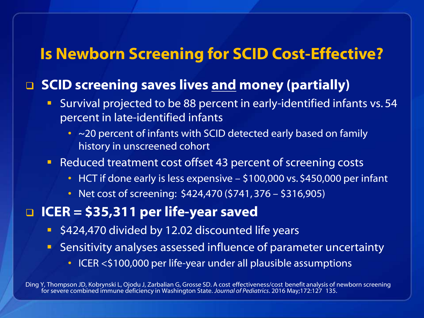# **Is Newborn Screening for SCID Cost-Effective?**

### **SCID screening saves lives and money (partially)**

- Survival projected to be 88 percent in early-identified infants vs. 54 percent in late-identified infants
	- ~20 percent of infants with SCID detected early based on family history in unscreened cohort
- **Reduced treatment cost offset 43 percent of screening costs** 
	- HCT if done early is less expensive \$100,000 vs. \$450,000 per infant
	- Net cost of screening: \$424,470 (\$741, 376 \$316,905)

#### **ICER = \$35,311 per life-year saved**

- **5424,470 divided by 12.02 discounted life years**
- Sensitivity analyses assessed influence of parameter uncertainty
	- ICER <\$100,000 per life-year under all plausible assumptions

Y, Thompson JD, Kobrynski L, Ojodu J, Zarbalian G, Grosse SD. A cost effectiveness/cost benefit analysis of r<br>for severe combined immune deficiency in Washington State. *Journal of Pediatrics*. 2016 May;172:127 135. Ding Y, Thompson JD, Kobrynski L, Ojodu J, Zarbalian G, Grosse SD. A cost effectiveness/cost benefit analysis of newborn screening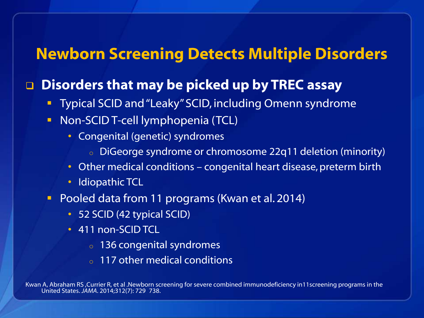# **Newborn Screening Detects Multiple Disorders**

### **Disorders that may be picked up by TREC assay**

- **Typical SCID and "Leaky" SCID, including Omenn syndrome**
- **Non-SCID T-cell lymphopenia (TCL)** 
	- Congenital (genetic) syndromes
		- <sup>o</sup> DiGeorge syndrome or chromosome 22q11 deletion (minority)
	- Other medical conditions congenital heart disease, preterm birth
	- Idiopathic TCL
- **Pooled data from 11 programs (Kwan et al. 2014)** 
	- 52 SCID (42 typical SCID)
	- 411 non-SCID TCL
		- o 136 congenital syndromes
		- <sup>o</sup> 117 other medical conditions

– United States. *JAMA*. 2014;312(7): 729 738. Kwan A, Abraham RS ,Currier R, et al .Newborn screening for severe combined immunodeficiency in11screening programs in the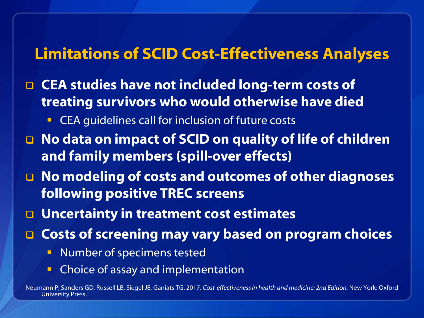# **Limitations of SCID Cost-Effectiveness Analyses**

- **CEA studies have not included long-term costs of treating survivors who would otherwise have died** 
	- **CEA guidelines call for inclusion of future costs**
- **No data on impact of SCID on quality of life of children and family members (spill-over effects)**
- **No modeling of costs and outcomes of other diagnoses following positive TREC screens**
- **Uncertainty in treatment cost estimates**
- **Costs of screening may vary based on program choices** 
	- **Number of specimens tested**
	- **EX Choice of assay and implementation**

Neumann P, Sanders GD, Russell LB, Siegel JE, Ganiats TG. 2017. *Cost effectiveness in health and medicine: 2nd Edition*. New York: Oxford University Press.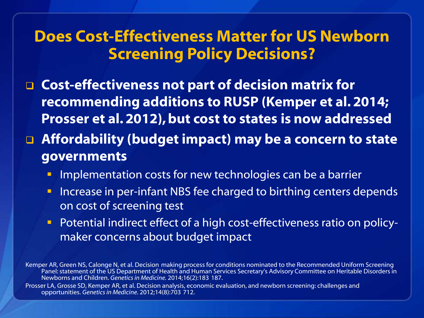# **Does Cost-Effectiveness Matter for US Newborn Screening Policy Decisions?**

 **Cost-effectiveness not part of decision matrix for recommending additions to RUSP (Kemper et al. 2014; Prosser et al. 2012), but cost to states is now addressed** 

- **Affordability (budget impact) may be a concern to state governments** 
	- **Implementation costs for new technologies can be a barrier**
	- **Increase in per-infant NBS fee charged to birthing centers depends** on cost of screening test
	- **Potential indirect effect of a high cost-effectiveness ratio on policy**maker concerns about budget impact

Kemper AR, Green NS, Calonge N, et al. Decision making process for conditions nominated to the Recommended Uniform Screening - Newborns and Children. *Genetics in Medicine.* 2014;16(2):183 187. Panel: statement of the US Department of Health and Human Services Secretary's Advisory Committee on Heritable Disorders in

er LA, Grosse SD, Kemper AR, et al. Decision analysis, eco<br>opportunities. *Genetics in Medicine*. 2012;14(8):703 712. Prosser LA, Grosse SD, Kemper AR, et al. Decision analysis, economic evaluation, and newborn screening: challenges and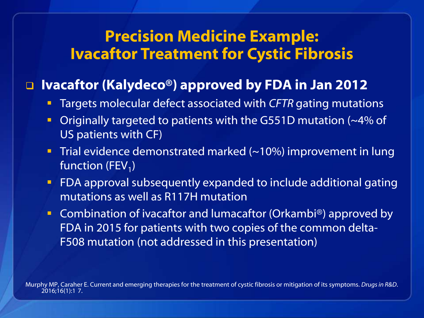# **Precision Medicine Example: Ivacaftor Treatment for Cystic Fibrosis**

#### **Ivacaftor (Kalydeco®) approved by FDA in Jan 2012**

- Targets molecular defect associated with *CFTR* gating mutations
- Originally targeted to patients with the G551D mutation (~4% of US patients with CF)
- **Trial evidence demonstrated marked (~10%) improvement in lung** function (FEV<sub>1</sub>)
- FDA approval subsequently expanded to include additional gating mutations as well as R117H mutation
- **Combination of ivacaftor and lumacaftor (Orkambi®) approved by**  FDA in 2015 for patients with two copies of the common delta-F508 mutation (not addressed in this presentation)

- Murphy MP, Caraher E. Current and emerging therapies for the treatment of cystic fibrosis or mitigation of its symptoms. *Drugs in R&D*. 2016;16(1):1 7.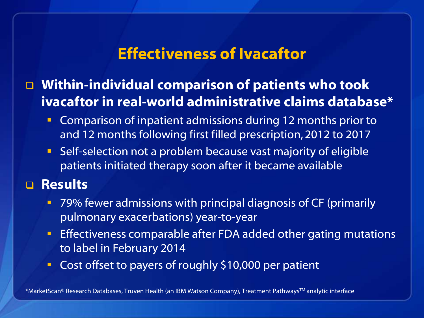### **Effectiveness of Ivacaftor**

### **Within-individual comparison of patients who took ivacaftor in real-world administrative claims database\***

- and 12 months following first filled prescription, 2012 to 2017 **Comparison of inpatient admissions during 12 months prior to**
- **Self-selection not a problem because vast majority of eligible** patients initiated therapy soon after it became available

#### **Results**

- 79% fewer admissions with principal diagnosis of CF (primarily pulmonary exacerbations) year-to-year
- **Effectiveness comparable after FDA added other gating mutations** to label in February 2014
- **Cost offset to payers of roughly \$10,000 per patient**

\*MarketScan® Research Databases, Truven Health (an IBM Watson Company), Treatment PathwaysTM analytic interface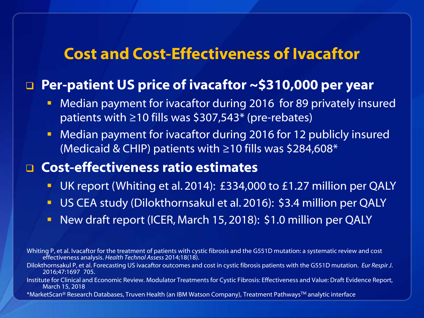# **Cost and Cost-Effectiveness of Ivacaftor**

#### **Per-patient US price of ivacaftor ~\$310,000 per year**

- Median payment for ivacaftor during 2016 for 89 privately insured patients with ≥10 fills was \$307,543\* (pre-rebates)
- Median payment for ivacaftor during 2016 for 12 publicly insured (Medicaid & CHIP) patients with ≥10 fills was \$284,608\*

#### **Cost-effectiveness ratio estimates**

- UK report (Whiting et al. 2014): £334,000 to £1.27 million per QALY
- US CEA study (Dilokthornsakul et al. 2016): \$3.4 million per QALY
- **New draft report (ICER, March 15, 2018): \$1.0 million per QALY**
- Whiting P, et al. Ivacaftor for the treatment of patients with cystic fibrosis and the G551D mutation: a systematic review and cost effectiveness analysis. *Health Technol Assess* 2014;18(18).

2016;47:1697 705. Dilokthornsakul P, et al. Forecasting US ivacaftor outcomes and cost in cystic fibrosis patients with the G551D mutation. *Eur Respir J.* 

 Institute for Clinical and Economic Review. Modulator Treatments for Cystic Fibrosis: Effectiveness and Value: Draft Evidence Report, March 15, 2018

\*MarketScan® Research Databases, Truven Health (an IBM Watson Company), Treatment PathwaysTM analytic interface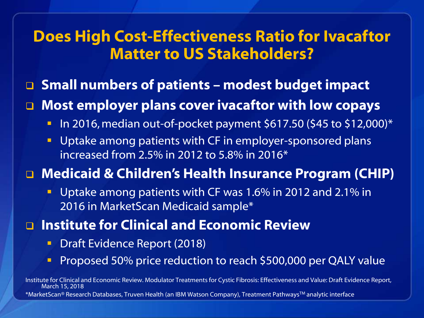# **Does High Cost-Effectiveness Ratio for Ivacaftor Matter to US Stakeholders?**

**Small numbers of patients – modest budget impact** 

**Most employer plans cover ivacaftor with low copays** 

- $\blacksquare$  In 2016, median out-of-pocket payment \$617.50 (\$45 to \$12,000)\*
- **Uptake among patients with CF in employer-sponsored plans** increased from 2.5% in 2012 to 5.8% in 2016\*

### **Medicaid & Children's Health Insurance Program (CHIP)**

- **Uptake among patients with CF was 1.6% in 2012 and 2.1% in** 2016 in MarketScan Medicaid sample\*
- **Institute for Clinical and Economic Review** 
	- **Draft Evidence Report (2018)**
	- **Proposed 50% price reduction to reach \$500,000 per QALY value**

 Institute for Clinical and Economic Review. Modulator Treatments for Cystic Fibrosis: Effectiveness and Value: Draft Evidence Report, March 15, 2018 \*MarketScan® Research Databases, Truven Health (an IBM Watson Company), Treatment PathwaysTM analytic interface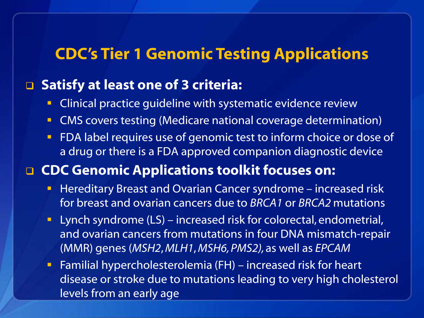# **CDC's Tier 1 Genomic Testing Applications**

### **Satisfy at least one of 3 criteria:**

- **EXTE:** Clinical practice guideline with systematic evidence review
- **CMS** covers testing (Medicare national coverage determination)
- **FDA label requires use of genomic test to inform choice or dose of** a drug or there is a FDA approved companion diagnostic device

#### **CDC Genomic Applications toolkit focuses on:**

- **Hereditary Breast and Ovarian Cancer syndrome increased risk** for breast and ovarian cancers due to *BRCA1* or *BRCA2* mutations
- **Lynch syndrome (LS) increased risk for colorectal, endometrial,** and ovarian cancers from mutations in four DNA mismatch-repair (MMR) genes (*MSH2*, *MLH1*, *MSH6, PMS2),* as well as *EPCAM*
- Familial hypercholesterolemia (FH) increased risk for heart disease or stroke due to mutations leading to very high cholesterol levels from an early age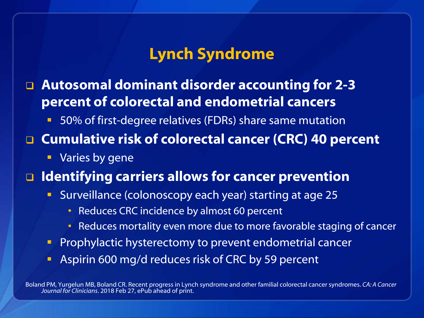### **Lynch Syndrome**

### **Autosomal dominant disorder accounting for 2-3 percent of colorectal and endometrial cancers**

**50% of first-degree relatives (FDRs) share same mutation** 

### **Cumulative risk of colorectal cancer (CRC) 40 percent**

**Varies by gene** 

#### **Identifying carriers allows for cancer prevention**

- **Surveillance (colonoscopy each year) starting at age 25** 
	- Reduces CRC incidence by almost 60 percent
	- Reduces mortality even more due to more favorable staging of cancer
- **Prophylactic hysterectomy to prevent endometrial cancer**
- **-** Aspirin 600 mg/d reduces risk of CRC by 59 percent

 Boland PM, Yurgelun MB, Boland CR. Recent progress in Lynch syndrome and other familial colorectal cancer syndromes. *CA: A Cancer Journal for Clinicians*. 2018 Feb 27, ePub ahead of print.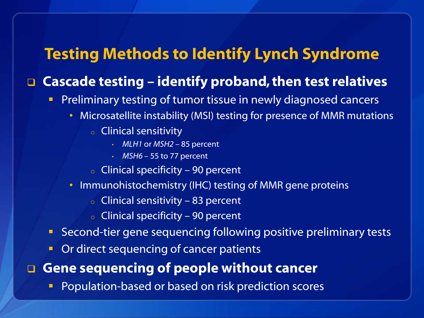# **Testing Methods to Identify Lynch Syndrome**

### **Cascade testing – identify proband, then test relatives**

- Preliminary testing of tumor tissue in newly diagnosed cancers
	- Microsatellite instability (MSI) testing for presence of MMR mutations
		- <sup>o</sup> Clinical sensitivity
			- *MLH1* or *MSH2*  85 percent
			- *MSH6*  55 to 77 percent
		- $\circ$  Clinical specificity 90 percent
	- Immunohistochemistry (IHC) testing of MMR gene proteins
		- $\circ$  Clinical sensitivity 83 percent
		- $\circ$  Clinical specificity 90 percent
- **Second-tier gene sequencing following positive preliminary tests**
- **Or direct sequencing of cancer patients**

**Gene sequencing of people without cancer** 

Population-based or based on risk prediction scores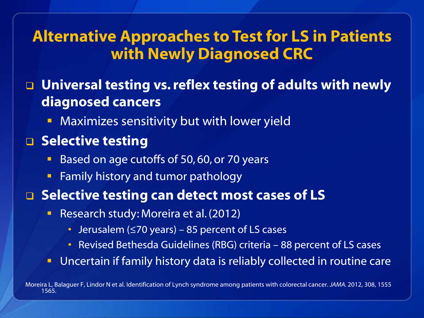# **Alternative Approaches to Test for LS in Patients with Newly Diagnosed CRC**

 **Universal testing vs. reflex testing of adults with newly diagnosed cancers** 

**Maximizes sensitivity but with lower yield** 

### **D** Selective testing

- Based on age cutoffs of 50,60, or 70 years
- Family history and tumor pathology

### **Selective testing can detect most cases of LS**

- **Research study: Moreira et al. (2012)** 
	- Jerusalem  $( \le 70 \text{ years}) 85$  percent of LS cases
	- Revised Bethesda Guidelines (RBG) criteria 88 percent of LS cases
- **Uncertain if family history data is reliably collected in routine care**

– Moreira L, Balaguer F, Lindor N et al. Identification of Lynch syndrome among patients with colorectal cancer. *JAMA.* 2012, 308, 1555 1565.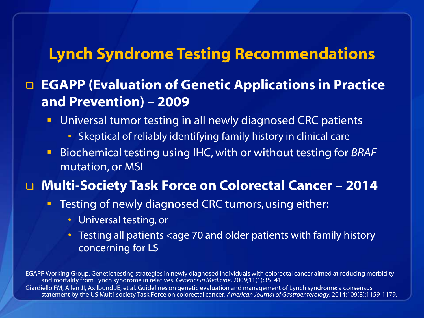## **Lynch Syndrome Testing Recommendations**

### **EGAPP (Evaluation of Genetic Applications in Practice and Prevention) – 2009**

- **Universal tumor testing in all newly diagnosed CRC patients** 
	- Skeptical of reliably identifying family history in clinical care
- Biochemical testing using IHC, with or without testing for *BRAF*  mutation, or MSI

#### **Multi-Society Task Force on Colorectal Cancer – 2014**

- Testing of newly diagnosed CRC tumors, using either:
	- Universal testing, or
	- Testing all patients <age 70 and older patients with family history concerning for LS

 EGAPP Working Group. Genetic testing strategies in newly diagnosed individuals with colorectal cancer aimed at reducing morbidity – and mortality from Lynch syndrome in relatives. *Genetics in Medicine.* 2009;11(1):35 41. iello FM, Allen JI, Axilbund JE, et al. Guidelines on genetic evaluation and management of Lynch syndrome: a consensus<br>statement by the US Multi society Task Force on colorectal cancer. *American Journal of Gastroenterolog* Giardiello FM, Allen JI, Axilbund JE, et al. Guidelines on genetic evaluation and management of Lynch syndrome: a consensus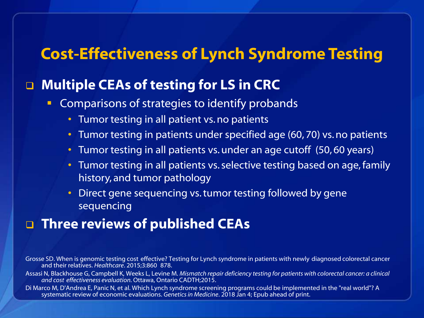# **Cost-Effectiveness of Lynch Syndrome Testing**

### **Multiple CEAs of testing for LS in CRC**

- **Comparisons of strategies to identify probands** 
	- Tumor testing in all patient vs. no patients
	- Tumor testing in patients under specified age (60, 70) vs. no patients
	- Tumor testing in all patients vs. under an age cutoff (50, 60 years)
	- Tumor testing in all patients vs. selective testing based on age, family history, and tumor pathology
	- Direct gene sequencing vs. tumor testing followed by gene sequencing

### **Three reviews of published CEAs**

Grosse SD. When is genomic testing cost effective? Testing for Lynch syndrome in patients with newly diagnosed colorectal cancer<br>and their relatives. Healthcare. 2015;3:860 878. and their relatives. *Healthcare*. 2015;3:860 878.

i N, Blackhouse G, Campbell K, Weeks L, Levine M. *Mismatch repo*<br>*and cost effectiveness evaluation*. Ottawa, Ontario CADTH;2015. Assasi N, Blackhouse G, Campbell K, Weeks L, Levine M. *Mismatch repair deficiency testing for patients with colorectal cancer: a clinical* 

 Di Marco M, D'Andrea E, Panic N, et al. Which Lynch syndrome screening programs could be implemented in the "real world"? A systematic review of economic evaluations. *Genetics in Medicine*. 2018 Jan 4; Epub ahead of print.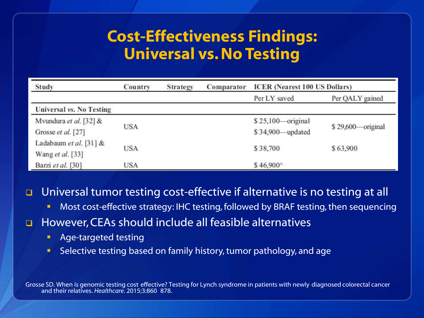# **Cost-Effectiveness Findings: Universal vs. No Testing**

| <b>Study</b>             | Country    | <b>Strategy</b> | Comparator | <b>ICER</b> (Nearest 100 US Dollars) |                         |
|--------------------------|------------|-----------------|------------|--------------------------------------|-------------------------|
|                          |            |                 |            | Per LY saved                         | Per QALY gained         |
| Universal vs. No Testing |            |                 |            |                                      |                         |
| Mvundura et al. [32] &   |            |                 |            | $$25,100$ -original                  | -original<br>$$29,600-$ |
| Grosse et al. [27]       | <b>USA</b> |                 |            | \$34,900-updated                     |                         |
| Ladabaum et al. [31] &   |            |                 |            |                                      |                         |
| Wang et al. [33]         | <b>USA</b> |                 |            | \$38,700                             | \$63,900                |
| Barzi et al. [30]        | <b>USA</b> |                 |            | $$46,900^{\circ}$                    |                         |

□ Universal tumor testing cost-effective if alternative is no testing at all

- **Most cost-effective strategy: IHC testing, followed by BRAF testing, then sequencing**
- However, CEAs should include all feasible alternatives
	- **Age-targeted testing**
	- **Selective testing based on family history, tumor pathology, and age**

Grosse SD. When is genomic testing cost effective? Testing for Lynch syndrome in patients with newly diagnosed colorectal cancer<br>and their relatives. *Healthcare*. 2015;3:860 878. and their relatives. *Healthcare*. 2015;3:860 878.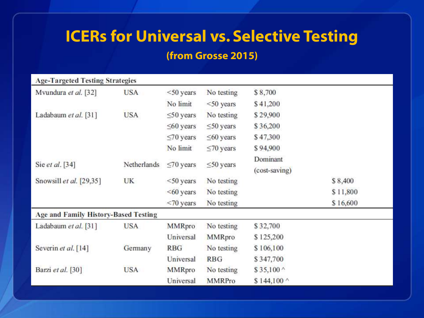# **ICERs for Universal vs. Selective Testing**

#### **(from Grosse 2015)**

| <b>Age-Targeted Testing Strategies</b> |             |                 |                 |                    |          |  |  |  |
|----------------------------------------|-------------|-----------------|-----------------|--------------------|----------|--|--|--|
| Mvundura et al. [32]                   | <b>USA</b>  | $<$ 50 years    | No testing      | \$8,700            |          |  |  |  |
|                                        |             | No limit        | $<$ 50 years    | \$41,200           |          |  |  |  |
| Ladabaum et al. [31]                   | <b>USA</b>  | $\leq 50$ years | No testing      | \$29,900           |          |  |  |  |
|                                        |             | $\leq 60$ years | $\leq 50$ years | \$36,200           |          |  |  |  |
|                                        |             | $\leq$ 70 years | $\leq 60$ years | \$47,300           |          |  |  |  |
|                                        |             | No limit        | $\leq$ 70 years | \$94,900           |          |  |  |  |
| Sie et al. [34]                        | Netherlands | $\leq 70$ years | $\leq$ 50 years | Dominant           |          |  |  |  |
|                                        |             |                 |                 | (cost-saving)      |          |  |  |  |
| Snowsill et al. [29,35]                | UK          | $<$ 50 years    | No testing      |                    | \$8,400  |  |  |  |
|                                        |             | $<$ 60 years    | No testing      |                    | \$11,800 |  |  |  |
|                                        |             | $<$ 70 years    | No testing      |                    | \$16,600 |  |  |  |
| Age and Family History-Based Testing   |             |                 |                 |                    |          |  |  |  |
| Ladabaum et al. [31]                   | <b>USA</b>  | <b>MMRpro</b>   | No testing      | \$32,700           |          |  |  |  |
|                                        |             | Universal       | <b>MMRpro</b>   | \$125,200          |          |  |  |  |
| Severin et al. [14]                    | Germany     | <b>RBG</b>      | No testing      | \$106,100          |          |  |  |  |
|                                        |             | Universal       | <b>RBG</b>      | \$347,700          |          |  |  |  |
| Barzi et al. [30]                      | <b>USA</b>  | <b>MMRpro</b>   | No testing      | $$35,100^{\circ}$  |          |  |  |  |
|                                        |             | Universal       | <b>MMRPro</b>   | $$144,100^{\circ}$ |          |  |  |  |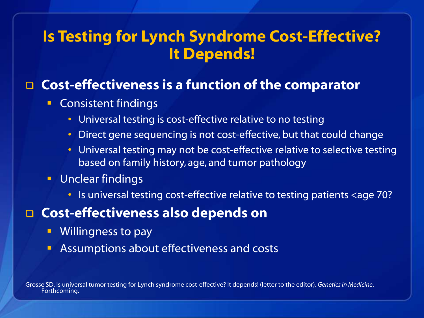# **Is Testing for Lynch Syndrome Cost-Effective? It Depends!**

### **Cost-effectiveness is a function of the comparator**

- **Consistent findings** 
	- Universal testing is cost-effective relative to no testing
	- Direct gene sequencing is not cost-effective, but that could change
	- based on family history, age, and tumor pathology • Universal testing may not be cost-effective relative to selective testing
- **Unclear findings** 
	- Is universal testing cost-effective relative to testing patients <age 70?

### **Cost-effectiveness also depends on**

- Willingness to pay
- **Assumptions about effectiveness and costs**

- Grosse SD. Is universal tumor testing for Lynch syndrome cost effective? It depends! (letter to the editor). *Genetics in Medicine*. Forthcoming.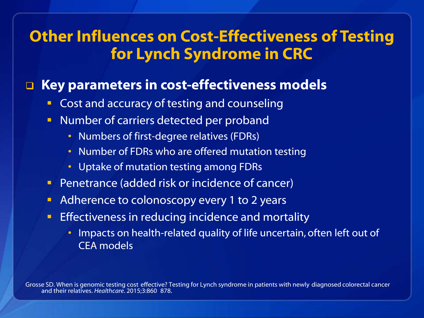# **Other Influences on Cost-Effectiveness of Testing for Lynch Syndrome in CRC**

### **Key parameters in cost-effectiveness models**

- **Cost and accuracy of testing and counseling**
- Number of carriers detected per proband
	- Numbers of first-degree relatives (FDRs)
	- Number of FDRs who are offered mutation testing
	- Uptake of mutation testing among FDRs
- **Penetrance (added risk or incidence of cancer)**
- Adherence to colonoscopy every 1 to 2 years
- **Effectiveness in reducing incidence and mortality** 
	- Impacts on health-related quality of life uncertain, often left out of CEA models

Grosse SD. When is genomic testing cost effective? Testing for Lynch syndrome in patients with newly diagnosed colorectal cancer<br>and their relatives. *Healthcare*. 2015;3:860 878. and their relatives. *Healthcare*. 2015;3:860 878.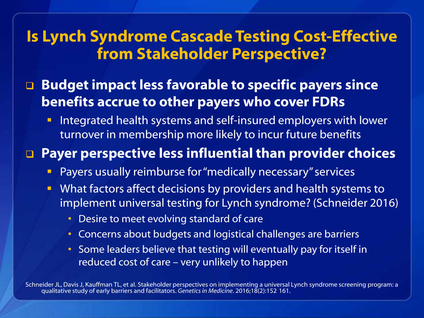# **Is Lynch Syndrome Cascade Testing Cost-Effective from Stakeholder Perspective?**

### **Budget impact less favorable to specific payers since benefits accrue to other payers who cover FDRs**

 Integrated health systems and self-insured employers with lower turnover in membership more likely to incur future benefits

### **Payer perspective less influential than provider choices**

- **Payers usually reimburse for "medically necessary" services**
- **What factors affect decisions by providers and health systems to** implement universal testing for Lynch syndrome? (Schneider 2016)
	- Desire to meet evolving standard of care
	- Concerns about budgets and logistical challenges are barriers
	- reduced cost of care very unlikely to happen • Some leaders believe that testing will eventually pay for itself in

Schneider JL, Davis J, Kauffman TL, et al. Stakeholder perspectives on implementing a universal Lynch syndrome screening program: a<br>qualitative study of early barriers and facilitators. *Genetics in Medicine*. 2016;18(2):1 qualitative study of early barriers and facilitators. *Genetics in Medicine*. 2016;18(2):152 161.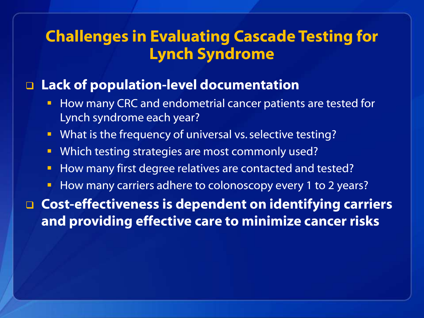# **Challenges in Evaluating Cascade Testing for Lynch Syndrome**

### **Lack of population-level documentation**

- **How many CRC and endometrial cancer patients are tested for** Lynch syndrome each year?
- **What is the frequency of universal vs. selective testing?**
- **Which testing strategies are most commonly used?**
- How many first degree relatives are contacted and tested?
- How many carriers adhere to colonoscopy every 1 to 2 years?

 **Cost-effectiveness is dependent on identifying carriers and providing effective care to minimize cancer risks**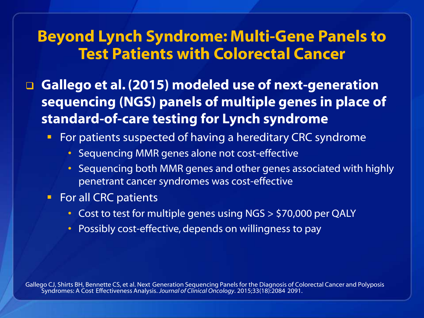# **Beyond Lynch Syndrome: Multi-Gene Panels to Test Patients with Colorectal Cancer**

 **Gallego et al. (2015) modeled use of next-generation sequencing (NGS) panels of multiple genes in place of standard-of-care testing for Lynch syndrome** 

For patients suspected of having a hereditary CRC syndrome

- Sequencing MMR genes alone not cost-effective
- Sequencing both MMR genes and other genes associated with highly penetrant cancer syndromes was cost-effective
- **Fidding 1 For all CRC patients** 
	- Cost to test for multiple genes using NGS > \$70,000 per QALY
	- Possibly cost-effective, depends on willingness to pay

go CJ, Shirts BH, Bennette CS, et al. Next Generation Sequencing Panels for the Diagnosis of Col<br>Syndromes: A Cost Effectiveness Analysis. *Journal of Clinical Oncology*. 2015;33(18):2084 2091. Gallego CJ, Shirts BH, Bennette CS, et al. Next Generation Sequencing Panels for the Diagnosis of Colorectal Cancer and Polyposis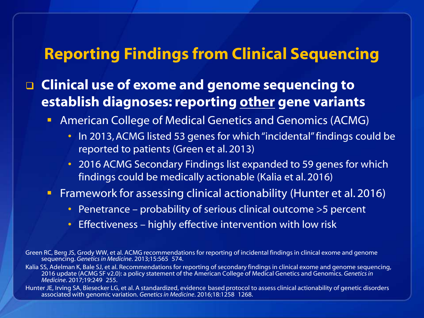# **Reporting Findings from Clinical Sequencing**

### **Clinical use of exome and genome sequencing to establish diagnoses: reporting other gene variants**

- **American College of Medical Genetics and Genomics (ACMG)** 
	- In 2013, ACMG listed 53 genes for which "incidental" findings could be reported to patients (Green et al. 2013)
	- 2016 ACMG Secondary Findings list expanded to 59 genes for which findings could be medically actionable (Kalia et al. 2016)
- **Framework for assessing clinical actionability (Hunter et al. 2016)** 
	- Penetrance probability of serious clinical outcome >5 percent
	- Effectiveness highly effective intervention with low risk

– sequencing. *Genetics in Medicine*. 2013;15:565 574. Green RC, Berg JS, Grody WW, et al. ACMG recommendations for reporting of incidental findings in clinical exome and genome

 Kalia SS, Adelman K, Bale SJ, et al. Recommendations for reporting of secondary findings in clinical exome and genome sequencing, – *Medicine*. 2017;19:249 255. 2016 update (ACMG SF v2.0): a policy statement of the American College of Medical Genetics and Genomics. *Genetics in* 

Hunter JE, Irving SA, Biesecker LG, et al. A standardized, evidence based protocol to assess clinical actionability of genetic disorders – associated with genomic variation. *Genetics in Medicine*. 2016;18:1258 1268.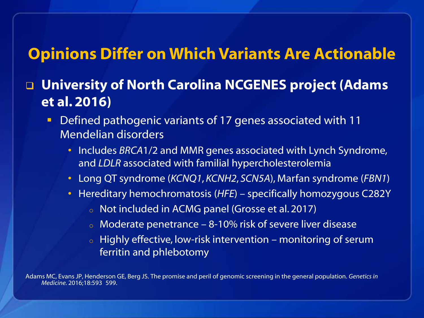# **Opinions Differ on Which Variants Are Actionable**

### **University of North Carolina NCGENES project (Adams et al. 2016)**

- Defined pathogenic variants of 17 genes associated with 11 Mendelian disorders
	- Includes *BRCA*1/2 and MMR genes associated with Lynch Syndrome, and *LDLR* associated with familial hypercholesterolemia
	- Long QT syndrome (*KCNQ1*, *KCNH2*, *SCN5A*), Marfan syndrome (*FBN1*)
	- Hereditary hemochromatosis (*HFE*) specifically homozygous C282Y
		- o Not included in ACMG panel (Grosse et al. 2017)
		- $\circ$  Moderate penetrance 8-10% risk of severe liver disease
		- $\circ$  Highly effective, low-risk intervention monitoring of serum ferritin and phlebotomy

 – Adams MC, Evans JP, Henderson GE, Berg JS. The promise and peril of genomic screening in the general population. *Genetics in Medicine.* 2016;18:593 599.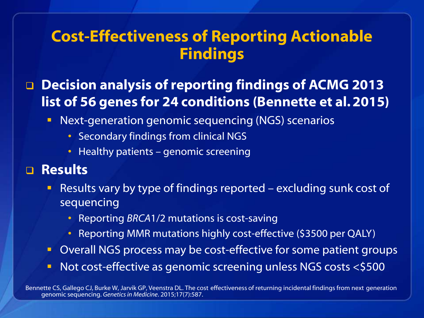# **Cost-Effectiveness of Reporting Actionable Findings**

### **Decision analysis of reporting findings of ACMG 2013 list of 56 genes for 24 conditions (Bennette et al. 2015)**

- **Next-generation genomic sequencing (NGS) scenarios** 
	- Secondary findings from clinical NGS
	- Healthy patients genomic screening

### **Results**

- Results vary by type of findings reported excluding sunk cost of sequencing
	- Reporting *BRCA*1/2 mutations is cost-saving
	- Reporting MMR mutations highly cost-effective (\$3500 per QALY)
- **DIM** Overall NGS process may be cost-effective for some patient groups
- Not cost-effective as genomic screening unless NGS costs <\$500

Bennette CS, Gallego CJ, Burke W, Jarvik GP, Veenstra DL. The cost effectiveness of returning incidental findings from next generation genomic sequencing. *Genetics in Medicine*. 2015;17(7):587.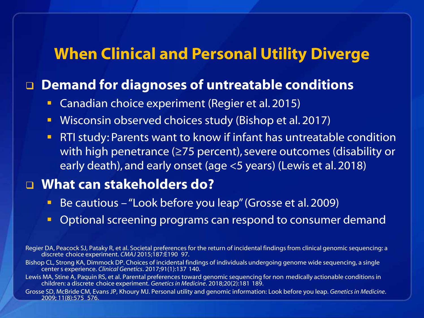### **When Clinical and Personal Utility Diverge**

#### **Demand for diagnoses of untreatable conditions**

- **Canadian choice experiment (Regier et al. 2015)**
- **Wisconsin observed choices study (Bishop et al. 2017)**
- with high penetrance (≥75 percent), severe outcomes (disability or **RTI study: Parents want to know if infant has untreatable condition** early death), and early onset (age <5 years) (Lewis et al. 2018)

#### **What can stakeholders do?**

- Be cautious –"Look before you leap"(Grosse et al. 2009)
- Optional screening programs can respond to consumer demand

- Bishop CL, Strong KA, Dimmock DP. Choices of incidental findings of individuals undergoing genome wide sequencing, a single ' - center s experience. *Clinical Genetics*. 2017;91(1):137 140.
- Lewis MA, Stine A, Paquin RS, et al. Parental preferences toward genomic sequencing for non medically actionable conditions in -- children: a discrete choice experiment. *Genetics in Medicine*. 2018;20(2):181 189.
- 2009; 11(8):575 576. Grosse SD, McBride CM, Evans JP, Khoury MJ. Personal utility and genomic information: Look before you leap. *Genetics in Medicine*.

<sup>-</sup> – discrete choice experiment. *CMAJ* 2015;187:E190 97. Regier DA, Peacock SJ, Pataky R, et al. Societal preferences for the return of incidental findings from clinical genomic sequencing: a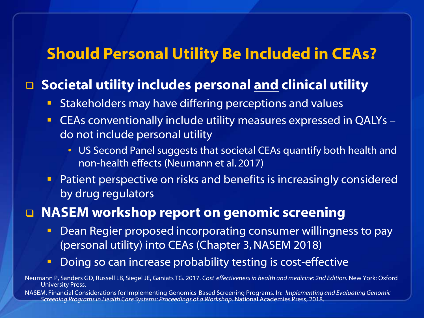# **Should Personal Utility Be Included in CEAs?**

### **Societal utility includes personal and clinical utility**

- **Stakeholders may have differing perceptions and values**
- CEAs conventionally include utility measures expressed in QALYs do not include personal utility
	- US Second Panel suggests that societal CEAs quantify both health and non-health effects (Neumann et al. 2017)
- **Patient perspective on risks and benefits is increasingly considered** by drug regulators

#### **NASEM workshop report on genomic screening**

- **Dean Regier proposed incorporating consumer willingness to pay** (personal utility) into CEAs (Chapter 3, NASEM 2018)
- **Doing so can increase probability testing is cost-effective**

 *-*  Neumann P, Sanders GD, Russell LB, Siegel JE, Ganiats TG. 2017. *Cost effectiveness in health and medicine: 2nd Edition.* New York: Oxford University Press.

 - NASEM. Financial Considerations for Implementing Genomics Based Screening Programs. In: *Implementing and Evaluating Genomic Screening Programs in Health Care Systems: Proceedings of a Workshop*. National Academies Press, 2018.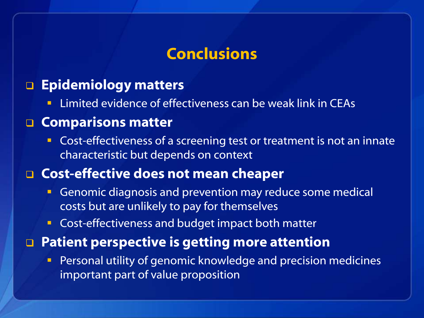### **Conclusions**

### **Epidemiology matters**

Limited evidence of effectiveness can be weak link in CEAs

#### **Comparisons matter**

**Cost-effectiveness of a screening test or treatment is not an innate** characteristic but depends on context

#### **Cost-effective does not mean cheaper**

- **Genomic diagnosis and prevention may reduce some medical** costs but are unlikely to pay for themselves
- **Cost-effectiveness and budget impact both matter**

#### **Patient perspective is getting more attention**

**Personal utility of genomic knowledge and precision medicines** important part of value proposition